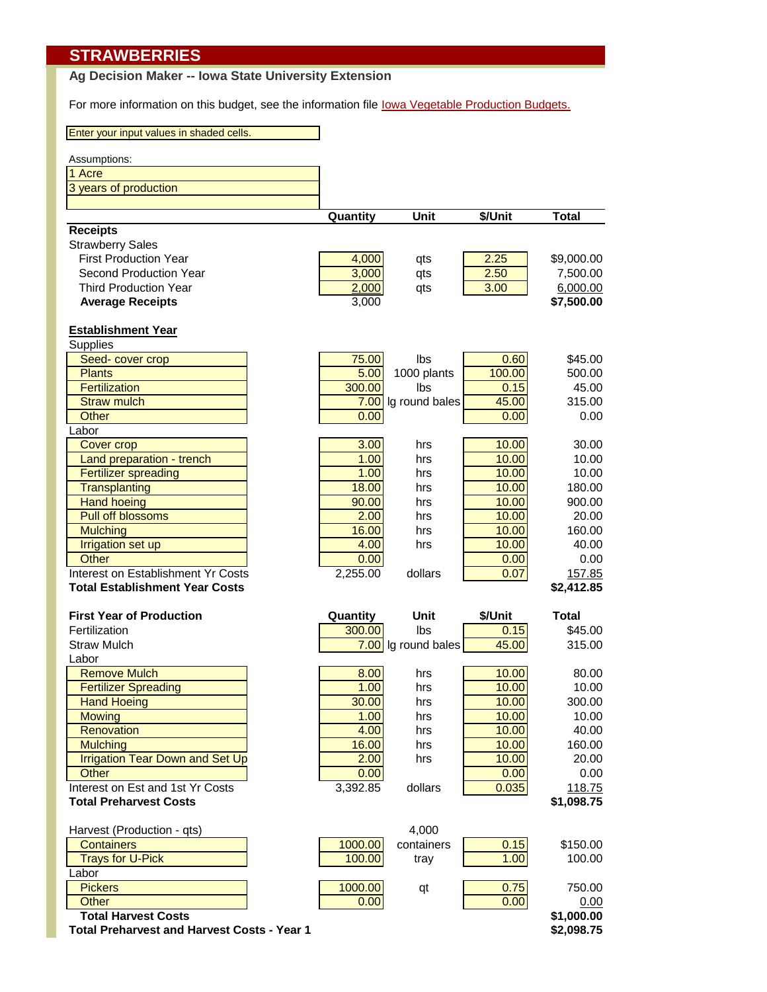## **STRAWBERRIES**

**Ag Decision Maker -- Iowa State University Extension**

For more information on this budget, see the information file lowa Vegetable Production Budgets.

## Enter your input values in shaded cells.

Assumptions:

1 Acre 3 years of production

| $\frac{1}{2}$ , $\frac{1}{2}$ , $\frac{1}{2}$ , $\frac{1}{2}$ , $\frac{1}{2}$ , $\frac{1}{2}$ , $\frac{1}{2}$ , $\frac{1}{2}$ , $\frac{1}{2}$ , $\frac{1}{2}$ , $\frac{1}{2}$ , $\frac{1}{2}$ , $\frac{1}{2}$ , $\frac{1}{2}$ , $\frac{1}{2}$ , $\frac{1}{2}$ , $\frac{1}{2}$ , $\frac{1}{2}$ , $\frac{1}{2}$ , $\frac{1}{2}$ , |          |                |         |              |
|---------------------------------------------------------------------------------------------------------------------------------------------------------------------------------------------------------------------------------------------------------------------------------------------------------------------------------|----------|----------------|---------|--------------|
|                                                                                                                                                                                                                                                                                                                                 |          |                |         |              |
|                                                                                                                                                                                                                                                                                                                                 | Quantity | Unit           | \$/Unit | <b>Total</b> |
| <b>Receipts</b>                                                                                                                                                                                                                                                                                                                 |          |                |         |              |
| <b>Strawberry Sales</b>                                                                                                                                                                                                                                                                                                         |          |                |         |              |
| <b>First Production Year</b>                                                                                                                                                                                                                                                                                                    | 4,000    | qts            | 2.25    | \$9,000.00   |
| Second Production Year                                                                                                                                                                                                                                                                                                          | 3,000    | qts            | 2.50    | 7,500.00     |
| <b>Third Production Year</b>                                                                                                                                                                                                                                                                                                    | 2,000    | qts            | 3.00    | 6,000.00     |
| <b>Average Receipts</b>                                                                                                                                                                                                                                                                                                         | 3,000    |                |         | \$7,500.00   |
| <b>Establishment Year</b>                                                                                                                                                                                                                                                                                                       |          |                |         |              |
| Supplies                                                                                                                                                                                                                                                                                                                        |          |                |         |              |
| Seed-cover crop                                                                                                                                                                                                                                                                                                                 | 75.00    | lbs            | 0.60    | \$45.00      |
| <b>Plants</b>                                                                                                                                                                                                                                                                                                                   | 5.00     | 1000 plants    | 100.00  | 500.00       |
| <b>Fertilization</b>                                                                                                                                                                                                                                                                                                            | 300.00   | lbs            | 0.15    | 45.00        |
| Straw mulch                                                                                                                                                                                                                                                                                                                     | 7.00     | Ig round bales | 45.00   | 315.00       |
| Other                                                                                                                                                                                                                                                                                                                           | 0.00     |                | 0.00    | 0.00         |
| Labor                                                                                                                                                                                                                                                                                                                           |          |                |         |              |
| Cover crop                                                                                                                                                                                                                                                                                                                      | 3.00     | hrs            | 10.00   | 30.00        |
| Land preparation - trench                                                                                                                                                                                                                                                                                                       | 1.00     | hrs            | 10.00   | 10.00        |
| <b>Fertilizer spreading</b>                                                                                                                                                                                                                                                                                                     | 1.00     | hrs            | 10.00   | 10.00        |
| Transplanting                                                                                                                                                                                                                                                                                                                   | 18.00    | hrs            | 10.00   | 180.00       |
| <b>Hand hoeing</b>                                                                                                                                                                                                                                                                                                              | 90.00    | hrs            | 10.00   | 900.00       |

Pull off blossoms 20.00 hrs 10.00 20.00 hrs 10.00 20.00 160.00 160.00 Mulching 16.00 hrs 10.00 160.00 Irrigation set up **10.00 hrs** 10.00 **40.00 40.00** Other 0.00 0.00 0.00 Interest on Establishment Yr Costs 2,255.00 dollars 0.07 157.85

Total Establishment Year Costs **<b>\$2,412.85 \$2,412.85** 

| <b>First Year of Production</b><br>Fertilization<br><b>Straw Mulch</b><br>Labor                                                                                               | Quantity<br>300.00                                             | Unit<br>lbs<br>7.00 lg round bales            | \$/Unit<br>0.15<br>45.00                                            | Total<br>\$45.00<br>315.00                                            |
|-------------------------------------------------------------------------------------------------------------------------------------------------------------------------------|----------------------------------------------------------------|-----------------------------------------------|---------------------------------------------------------------------|-----------------------------------------------------------------------|
| <b>Remove Mulch</b><br><b>Fertilizer Spreading</b><br><b>Hand Hoeing</b><br><b>Mowing</b><br>Renovation<br><b>Mulching</b><br><b>Irrigation Tear Down and Set Up</b><br>Other | 8.00<br>1.00<br>30.00<br>1.00<br>4.00<br>16.00<br>2.00<br>0.00 | hrs<br>hrs<br>hrs<br>hrs<br>hrs<br>hrs<br>hrs | 10.00<br>10.00<br>10.00<br>10.00<br>10.00<br>10.00<br>10.00<br>0.00 | 80.00<br>10.00<br>300.00<br>10.00<br>40.00<br>160.00<br>20.00<br>0.00 |
| Interest on Est and 1st Yr Costs<br><b>Total Preharvest Costs</b>                                                                                                             | 3,392.85                                                       | dollars                                       | 0.035                                                               | 118.75<br>\$1,098.75                                                  |
| Harvest (Production - qts)<br><b>Containers</b><br><b>Trays for U-Pick</b>                                                                                                    | 1000.00<br>100.00                                              | 4,000<br>containers<br>tray                   | 0.15<br>1.00                                                        | \$150.00<br>100.00                                                    |
| Labor<br><b>Pickers</b><br>Other<br><b>Total Harvest Costs</b>                                                                                                                | 1000.00<br>0.00                                                | qt                                            | 0.75<br>0.00                                                        | 750.00<br>0.00<br>\$1,000.00                                          |

**Total Preharvest and Harvest Costs - Year 1 \$2,098.75**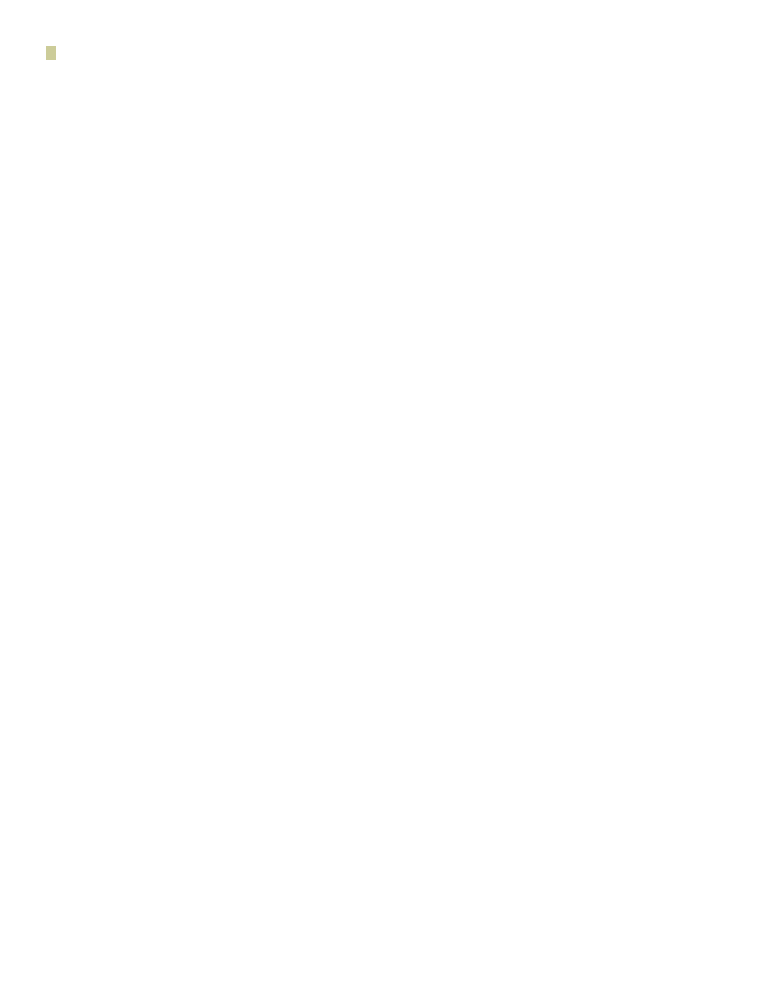

 $\overline{\mathbb{R}}$